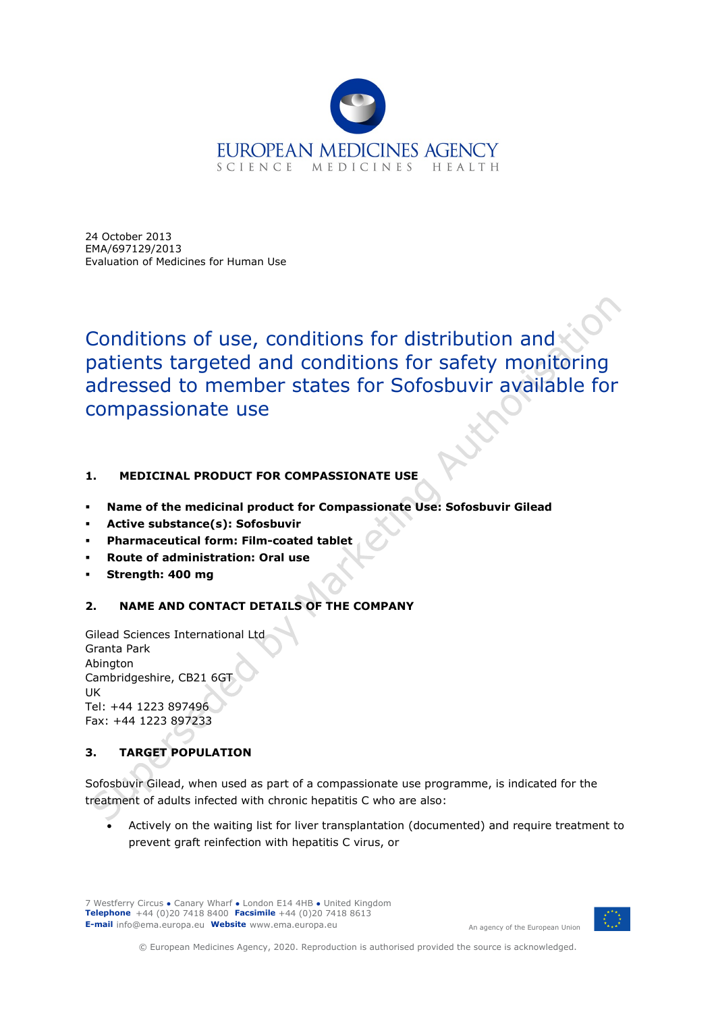

24 October 2013 EMA/697129/2013 Evaluation of Medicines for Human Use

Conditions of use, conditions for distribution and patients targeted and conditions for safety monitoring adressed to member states for Sofosbuvir available for compassionate use

# **1. MEDICINAL PRODUCT FOR COMPASSIONATE USE**

- **Name of the medicinal product for Compassionate Use: Sofosbuvir Gilead**
- **Active substance(s): Sofosbuvir**
- **Pharmaceutical form: Film-coated tablet**
- **Route of administration: Oral use**
- **Strength: 400 mg**

# **2. NAME AND CONTACT DETAILS OF THE COMPANY**

Gilead Sciences International Ltd Granta Park Abington Cambridgeshire, CB21 6GT UK Tel: +44 1223 897496 Fax: +44 1223 897233

# **3. TARGET POPULATION**

Sofosbuvir Gilead, when used as part of a compassionate use programme, is indicated for the treatment of adults infected with chronic hepatitis C who are also:

• Actively on the waiting list for liver transplantation (documented) and require treatment to prevent graft reinfection with hepatitis C virus, or

7 Westferry Circus **●** Canary Wharf **●** London E14 4HB **●** United Kingdom **Telephone** +44 (0)20 7418 8400 **Facsimile** +44 (0)20 7418 8613 **E-mail** info@ema.europa.eu **Website** www.ema.europa.eu

An agency of the European Union



© European Medicines Agency, 2020. Reproduction is authorised provided the source is acknowledged.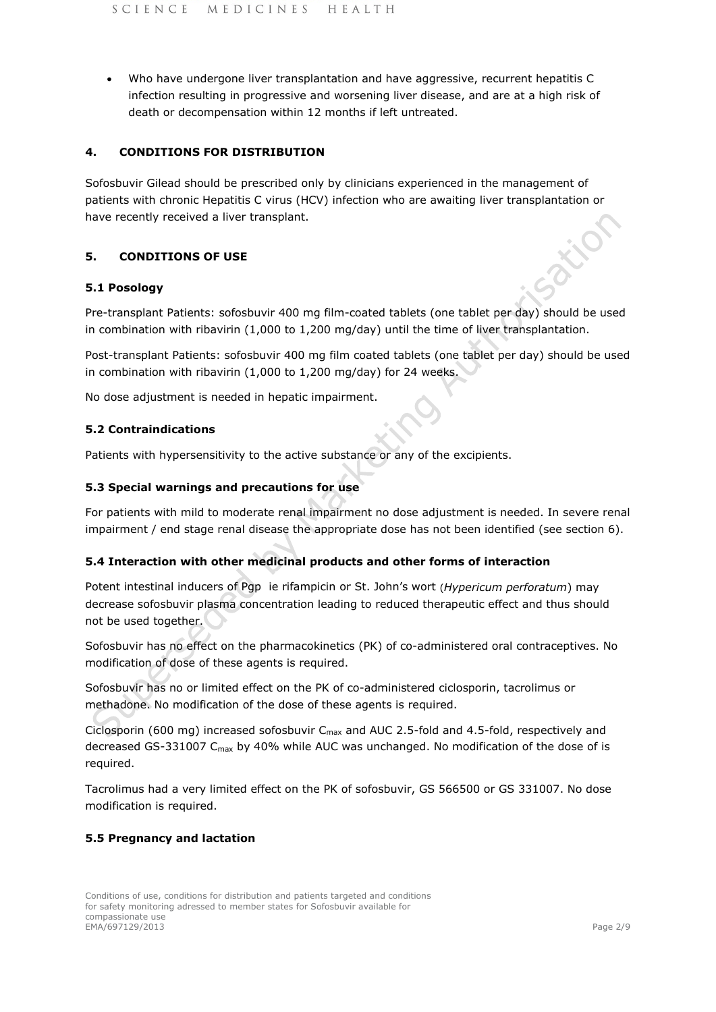• Who have undergone liver transplantation and have aggressive, recurrent hepatitis C infection resulting in progressive and worsening liver disease, and are at a high risk of death or decompensation within 12 months if left untreated.

## **4. CONDITIONS FOR DISTRIBUTION**

Sofosbuvir Gilead should be prescribed only by clinicians experienced in the management of patients with chronic Hepatitis C virus (HCV) infection who are awaiting liver transplantation or have recently received a liver transplant.

## **5. CONDITIONS OF USE**

## **5.1 Posology**

Pre-transplant Patients: sofosbuvir 400 mg film-coated tablets (one tablet per day) should be used in combination with ribavirin (1,000 to 1,200 mg/day) until the time of liver transplantation.

Post-transplant Patients: sofosbuvir 400 mg film coated tablets (one tablet per day) should be used in combination with ribavirin (1,000 to 1,200 mg/day) for 24 weeks.

No dose adjustment is needed in hepatic impairment.

## **5.2 Contraindications**

Patients with hypersensitivity to the active substance or any of the excipients.

#### **5.3 Special warnings and precautions for use**

For patients with mild to moderate renal impairment no dose adjustment is needed. In severe renal impairment / end stage renal disease the appropriate dose has not been identified (see section 6).

#### **5.4 Interaction with other medicinal products and other forms of interaction**

Potent intestinal inducers of Pgp ie rifampicin or St. John's wort (*Hypericum perforatum*) may decrease sofosbuvir plasma concentration leading to reduced therapeutic effect and thus should not be used together.

Sofosbuvir has no effect on the pharmacokinetics (PK) of co-administered oral contraceptives. No modification of dose of these agents is required.

Sofosbuvir has no or limited effect on the PK of co-administered ciclosporin, tacrolimus or methadone. No modification of the dose of these agents is required.

Ciclosporin (600 mg) increased sofosbuvir  $C_{\text{max}}$  and AUC 2.5-fold and 4.5-fold, respectively and decreased GS-331007 C<sub>max</sub> by 40% while AUC was unchanged. No modification of the dose of is required.

Tacrolimus had a very limited effect on the PK of sofosbuvir, GS 566500 or GS 331007. No dose modification is required.

#### **5.5 Pregnancy and lactation**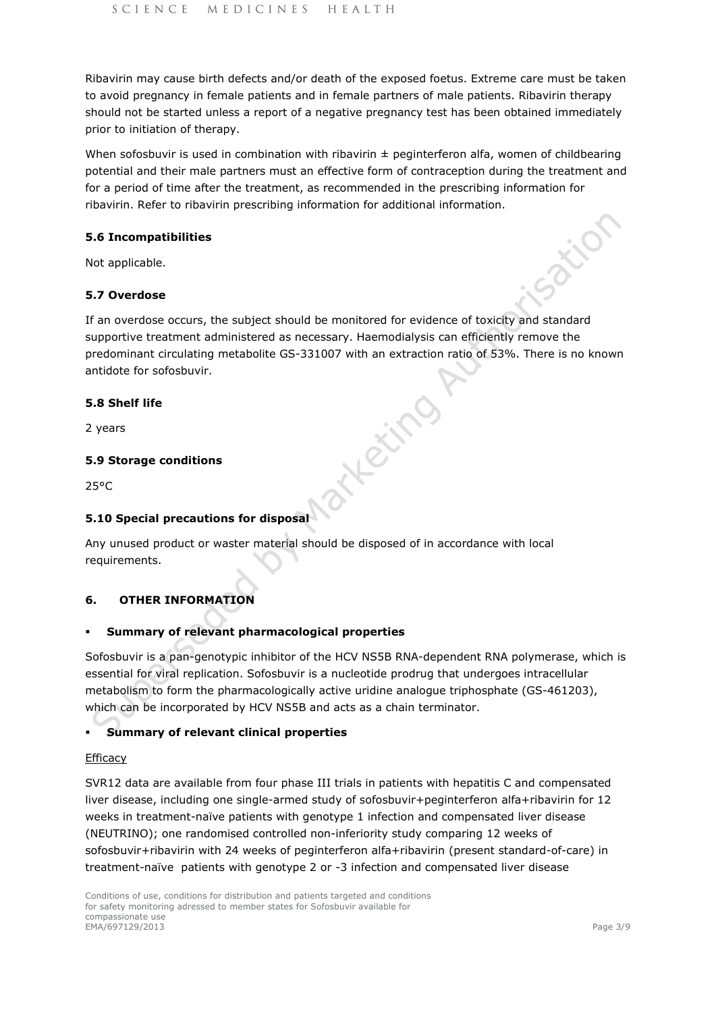Ribavirin may cause birth defects and/or death of the exposed foetus. Extreme care must be taken to avoid pregnancy in female patients and in female partners of male patients. Ribavirin therapy should not be started unless a report of a negative pregnancy test has been obtained immediately prior to initiation of therapy.

When sofosbuvir is used in combination with ribavirin  $\pm$  peginterferon alfa, women of childbearing potential and their male partners must an effective form of contraception during the treatment and for a period of time after the treatment, as recommended in the prescribing information for ribavirin. Refer to ribavirin prescribing information for additional information.

## **5.6 Incompatibilities**

Not applicable.

## **5.7 Overdose**

If an overdose occurs, the subject should be monitored for evidence of toxicity and standard supportive treatment administered as necessary. Haemodialysis can efficiently remove the predominant circulating metabolite GS-331007 with an extraction ratio of 53%. There is no known antidote for sofosbuvir.

Atlatifie

## **5.8 Shelf life**

2 years

## **5.9 Storage conditions**

25°C

## **5.10 Special precautions for disposal**

Any unused product or waster material should be disposed of in accordance with local requirements.

## **6. OTHER INFORMATION**

## **Summary of relevant pharmacological properties**

Sofosbuvir is a pan-genotypic inhibitor of the HCV NS5B RNA-dependent RNA polymerase, which is essential for viral replication. Sofosbuvir is a nucleotide prodrug that undergoes intracellular metabolism to form the pharmacologically active uridine analogue triphosphate (GS-461203), which can be incorporated by HCV NS5B and acts as a chain terminator.

## **Summary of relevant clinical properties**

#### **Efficacy**

SVR12 data are available from four phase III trials in patients with hepatitis C and compensated liver disease, including one single-armed study of sofosbuvir+peginterferon alfa+ribavirin for 12 weeks in treatment-naïve patients with genotype 1 infection and compensated liver disease (NEUTRINO); one randomised controlled non-inferiority study comparing 12 weeks of sofosbuvir+ribavirin with 24 weeks of peginterferon alfa+ribavirin (present standard-of-care) in treatment-naïve patients with genotype 2 or -3 infection and compensated liver disease

Sation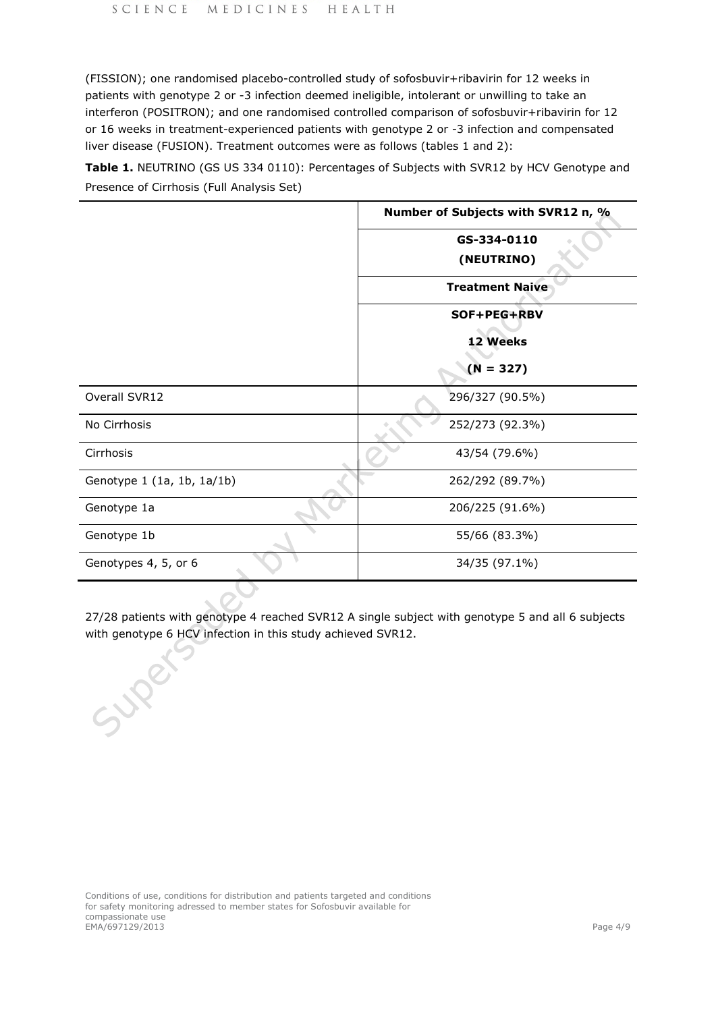(FISSION); one randomised placebo-controlled study of sofosbuvir+ribavirin for 12 weeks in patients with genotype 2 or -3 infection deemed ineligible, intolerant or unwilling to take an interferon (POSITRON); and one randomised controlled comparison of sofosbuvir+ribavirin for 12 or 16 weeks in treatment-experienced patients with genotype 2 or -3 infection and compensated liver disease (FUSION). Treatment outcomes were as follows (tables 1 and 2):

**Table 1.** NEUTRINO (GS US 334 0110): Percentages of Subjects with SVR12 by HCV Genotype and Presence of Cirrhosis (Full Analysis Set)

|                            | Number of Subjects with SVR12 n, % |  |
|----------------------------|------------------------------------|--|
|                            | GS-334-0110                        |  |
|                            | (NEUTRINO)                         |  |
|                            | <b>Treatment Naive</b>             |  |
|                            | SOF+PEG+RBV                        |  |
|                            | 12 Weeks                           |  |
|                            | $(N = 327)$                        |  |
| Overall SVR12              | 296/327 (90.5%)                    |  |
| No Cirrhosis               | 252/273 (92.3%)                    |  |
| Cirrhosis                  | 43/54 (79.6%)                      |  |
| Genotype 1 (1a, 1b, 1a/1b) | 262/292 (89.7%)                    |  |
| Genotype 1a                | 206/225 (91.6%)                    |  |
| Genotype 1b                | 55/66 (83.3%)                      |  |
| Genotypes 4, 5, or 6       | 34/35 (97.1%)                      |  |

27/28 patients with genotype 4 reached SVR12 A single subject with genotype 5 and all 6 subjects with genotype 6 HCV infection in this study achieved SVR12.

Super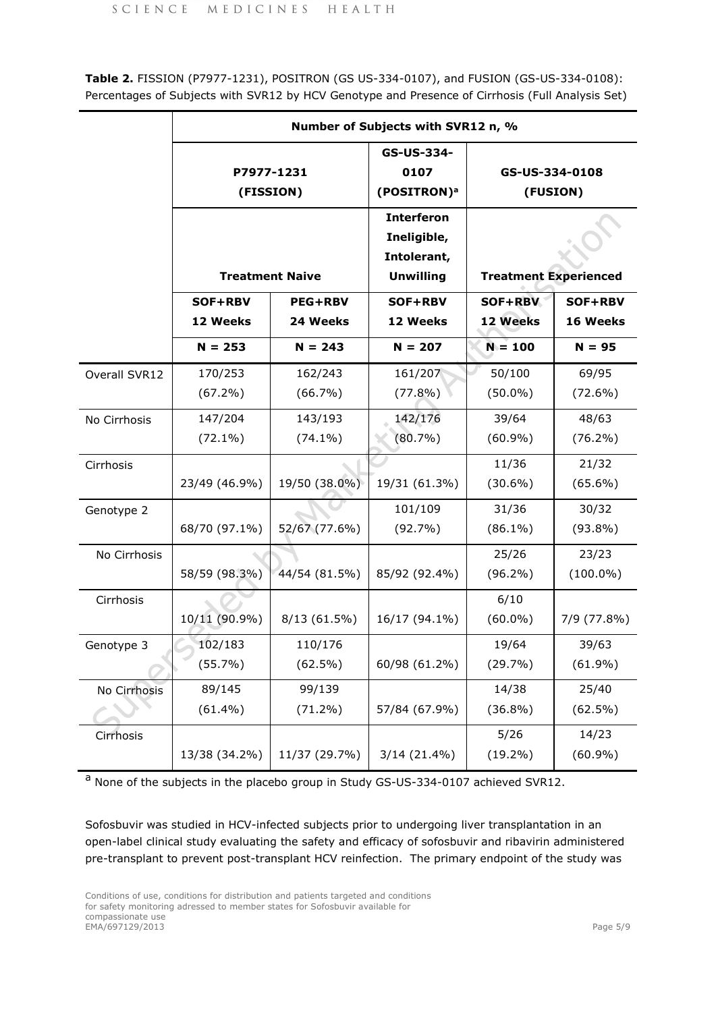**Table 2.** FISSION (P7977-1231), POSITRON (GS US-334-0107), and FUSION (GS-US-334-0108): Percentages of Subjects with SVR12 by HCV Genotype and Presence of Cirrhosis (Full Analysis Set)

|               | Number of Subjects with SVR12 n, %                |               |                                                                     |                              |                     |  |
|---------------|---------------------------------------------------|---------------|---------------------------------------------------------------------|------------------------------|---------------------|--|
|               | P7977-1231<br>(FISSION)<br><b>Treatment Naive</b> |               | GS-US-334-<br>0107<br>(POSITRON) <sup>a</sup>                       | GS-US-334-0108<br>(FUSION)   |                     |  |
|               |                                                   |               | <b>Interferon</b><br>Ineligible,<br>Intolerant,<br><b>Unwilling</b> | <b>Treatment Experienced</b> |                     |  |
|               | SOF+RBV<br><b>PEG+RBV</b>                         |               | SOF+RBV                                                             | <b>SOF+RBV</b>               | SOF+RBV             |  |
|               | 12 Weeks                                          | 24 Weeks      | 12 Weeks                                                            | 12 Weeks                     | 16 Weeks            |  |
|               | $N = 253$                                         | $N = 243$     | $N = 207$                                                           | $N = 100$                    | $N = 95$            |  |
| Overall SVR12 | 170/253<br>$(67.2\%)$                             | 162/243       | 161/207                                                             | 50/100                       | 69/95<br>$(72.6\%)$ |  |
|               |                                                   | $(66.7\%)$    | $(77.8\%)$                                                          | $(50.0\%)$                   |                     |  |
| No Cirrhosis  | 147/204                                           | 143/193       | 142/176                                                             | 39/64                        | 48/63               |  |
|               | $(72.1\%)$                                        | $(74.1\%)$    | $(80.7\%)$                                                          | $(60.9\%)$                   | $(76.2\%)$          |  |
| Cirrhosis     |                                                   |               |                                                                     | 11/36                        | 21/32               |  |
|               | 23/49 (46.9%)                                     | 19/50 (38.0%) | 19/31 (61.3%)                                                       | $(30.6\%)$                   | $(65.6\%)$          |  |
| Genotype 2    |                                                   |               | 101/109                                                             | 31/36                        | 30/32               |  |
|               | 68/70 (97.1%)                                     | 52/67 (77.6%) | $(92.7\%)$                                                          | $(86.1\%)$                   | $(93.8\%)$          |  |
| No Cirrhosis  |                                                   |               |                                                                     | 25/26                        | 23/23               |  |
|               | 58/59 (98.3%)                                     | 44/54 (81.5%) | 85/92 (92.4%)                                                       | $(96.2\%)$                   | $(100.0\%)$         |  |
| Cirrhosis     |                                                   |               |                                                                     | 6/10                         |                     |  |
|               | 10/11 (90.9%)                                     | 8/13(61.5%)   | 16/17 (94.1%)                                                       | $(60.0\%)$                   | 7/9 (77.8%)         |  |
| Genotype 3    | 102/183                                           | 110/176       |                                                                     | 19/64                        | 39/63               |  |
|               | (55.7%)                                           | $(62.5\%)$    | 60/98 (61.2%)                                                       | (29.7%)                      | $(61.9\%)$          |  |
| No Cirrhosis  | 89/145                                            | 99/139        |                                                                     | 14/38                        | 25/40               |  |
|               | $(61.4\%)$                                        | $(71.2\%)$    | 57/84 (67.9%)                                                       | $(36.8\%)$                   | $(62.5\%)$          |  |
| Cirrhosis     |                                                   |               |                                                                     | 5/26                         | 14/23               |  |
|               | 13/38 (34.2%)                                     | 11/37 (29.7%) | 3/14 (21.4%)                                                        | $(19.2\%)$                   | $(60.9\%)$          |  |

a None of the subjects in the placebo group in Study GS-US-334-0107 achieved SVR12.

Sofosbuvir was studied in HCV-infected subjects prior to undergoing liver transplantation in an open-label clinical study evaluating the safety and efficacy of sofosbuvir and ribavirin administered pre-transplant to prevent post-transplant HCV reinfection. The primary endpoint of the study was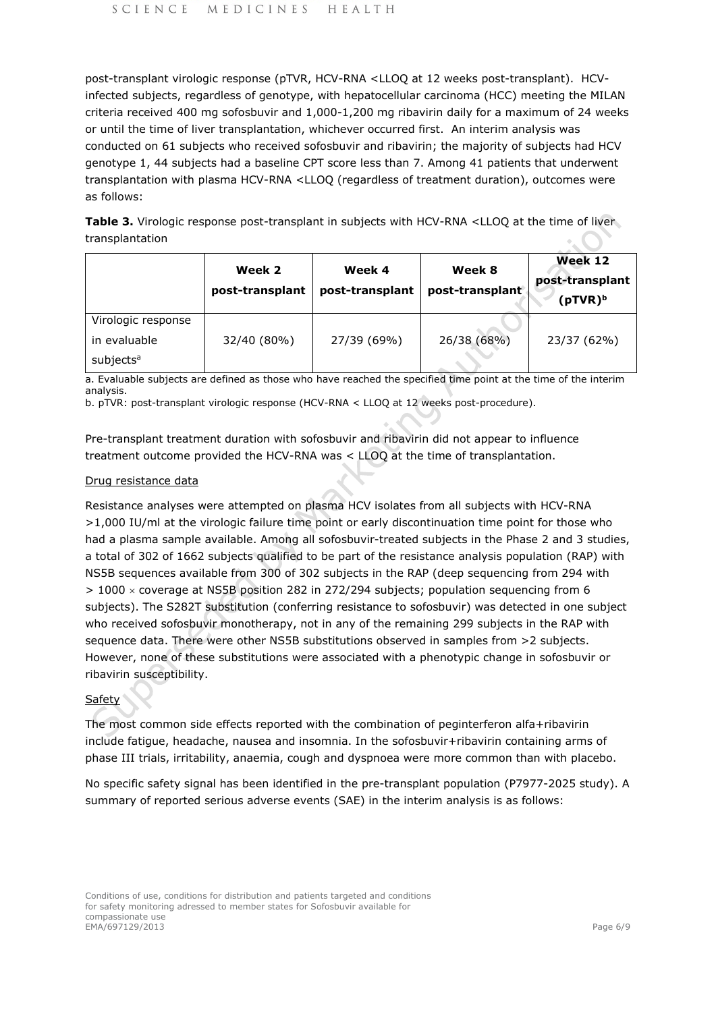post-transplant virologic response (pTVR, HCV-RNA <LLOQ at 12 weeks post-transplant). HCVinfected subjects, regardless of genotype, with hepatocellular carcinoma (HCC) meeting the MILAN criteria received 400 mg sofosbuvir and 1,000-1,200 mg ribavirin daily for a maximum of 24 weeks or until the time of liver transplantation, whichever occurred first. An interim analysis was conducted on 61 subjects who received sofosbuvir and ribavirin; the majority of subjects had HCV genotype 1, 44 subjects had a baseline CPT score less than 7. Among 41 patients that underwent transplantation with plasma HCV-RNA <LLOQ (regardless of treatment duration), outcomes were as follows:

Table 3. Virologic response post-transplant in subjects with HCV-RNA <LLOQ at the time of liver transplantation

|                       | Week 2<br>post-transplant | Week 4<br>post-transplant | Week 8<br>post-transplant <sup>®</sup> | Week 12<br>post-transplant<br>$(pTVR)^b$ |
|-----------------------|---------------------------|---------------------------|----------------------------------------|------------------------------------------|
| Virologic response    |                           |                           |                                        |                                          |
| in evaluable          | 32/40 (80%)               | 27/39 (69%)               | 26/38 (68%)                            | 23/37 (62%)                              |
| subjects <sup>a</sup> |                           |                           |                                        |                                          |

a. Evaluable subjects are defined as those who have reached the specified time point at the time of the interim analysis.

b. pTVR: post-transplant virologic response (HCV-RNA < LLOQ at 12 weeks post-procedure).

Pre-transplant treatment duration with sofosbuvir and ribavirin did not appear to influence treatment outcome provided the HCV-RNA was < LLOQ at the time of transplantation.

#### Drug resistance data

Resistance analyses were attempted on plasma HCV isolates from all subjects with HCV-RNA >1,000 IU/ml at the virologic failure time point or early discontinuation time point for those who had a plasma sample available. Among all sofosbuvir-treated subjects in the Phase 2 and 3 studies, a total of 302 of 1662 subjects qualified to be part of the resistance analysis population (RAP) with NS5B sequences available from 300 of 302 subjects in the RAP (deep sequencing from 294 with > 1000 × coverage at NS5B position 282 in 272/294 subjects; population sequencing from 6 subjects). The S282T substitution (conferring resistance to sofosbuvir) was detected in one subject who received sofosbuvir monotherapy, not in any of the remaining 299 subjects in the RAP with sequence data. There were other NS5B substitutions observed in samples from >2 subjects. However, none of these substitutions were associated with a phenotypic change in sofosbuvir or ribavirin susceptibility.

## Safety

The most common side effects reported with the combination of peginterferon alfa+ribavirin include fatigue, headache, nausea and insomnia. In the sofosbuvir+ribavirin containing arms of phase III trials, irritability, anaemia, cough and dyspnoea were more common than with placebo.

No specific safety signal has been identified in the pre-transplant population (P7977-2025 study). A summary of reported serious adverse events (SAE) in the interim analysis is as follows: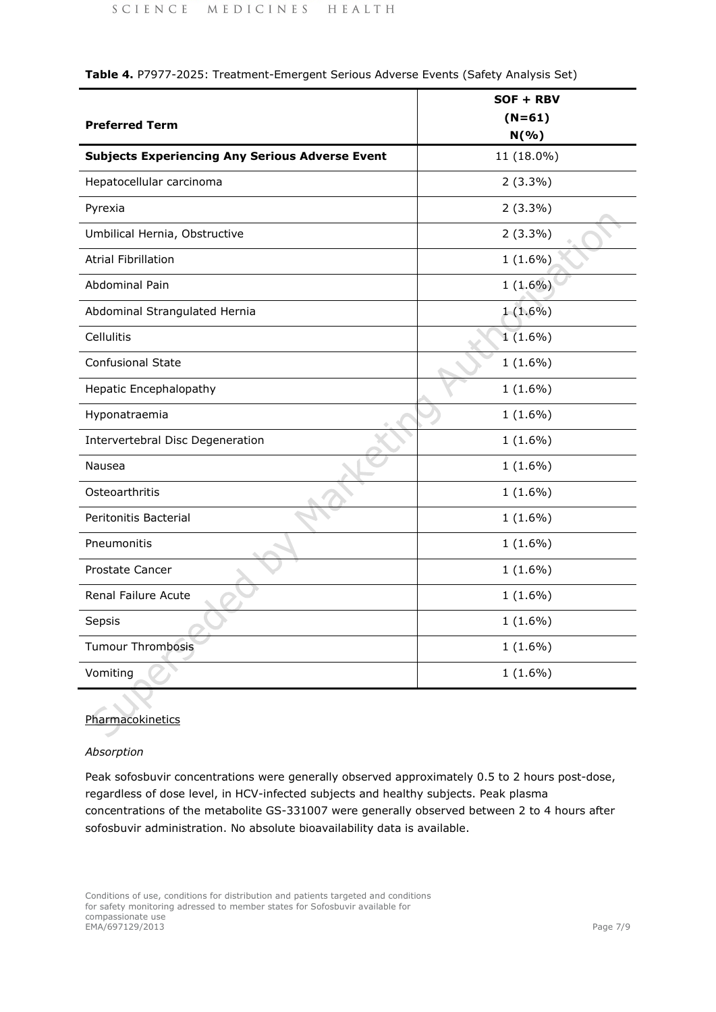|                                                        | SOF + RBV  |
|--------------------------------------------------------|------------|
| <b>Preferred Term</b>                                  | $(N=61)$   |
|                                                        | N(% )      |
| <b>Subjects Experiencing Any Serious Adverse Event</b> | 11 (18.0%) |
| Hepatocellular carcinoma                               | $2(3.3\%)$ |
| Pyrexia                                                | $2(3.3\%)$ |
| Umbilical Hernia, Obstructive                          | $2(3.3\%)$ |
| <b>Atrial Fibrillation</b>                             | $1(1.6\%)$ |
| Abdominal Pain                                         | $1(1.6\%)$ |
| Abdominal Strangulated Hernia                          | $1(1.6\%)$ |
| Cellulitis                                             | $1(1.6\%)$ |
| <b>Confusional State</b>                               | $1(1.6\%)$ |
| <b>Hepatic Encephalopathy</b>                          | $1(1.6\%)$ |
| Hyponatraemia                                          | $1(1.6\%)$ |
| Intervertebral Disc Degeneration                       | $1(1.6\%)$ |
| Nausea                                                 | $1(1.6\%)$ |
| Osteoarthritis                                         | $1(1.6\%)$ |
| Peritonitis Bacterial                                  | $1(1.6\%)$ |
| Pneumonitis                                            | $1(1.6\%)$ |
| Prostate Cancer                                        | $1(1.6\%)$ |
| Renal Failure Acute                                    | $1(1.6\%)$ |
| Sepsis                                                 | $1(1.6\%)$ |
| <b>Tumour Thrombosis</b>                               | $1(1.6\%)$ |
| Vomiting                                               | $1(1.6\%)$ |

**Table 4.** P7977-2025: Treatment-Emergent Serious Adverse Events (Safety Analysis Set)

## **Pharmacokinetics**

# *Absorption*

Peak sofosbuvir concentrations were generally observed approximately 0.5 to 2 hours post-dose, regardless of dose level, in HCV-infected subjects and healthy subjects. Peak plasma concentrations of the metabolite GS-331007 were generally observed between 2 to 4 hours after sofosbuvir administration. No absolute bioavailability data is available.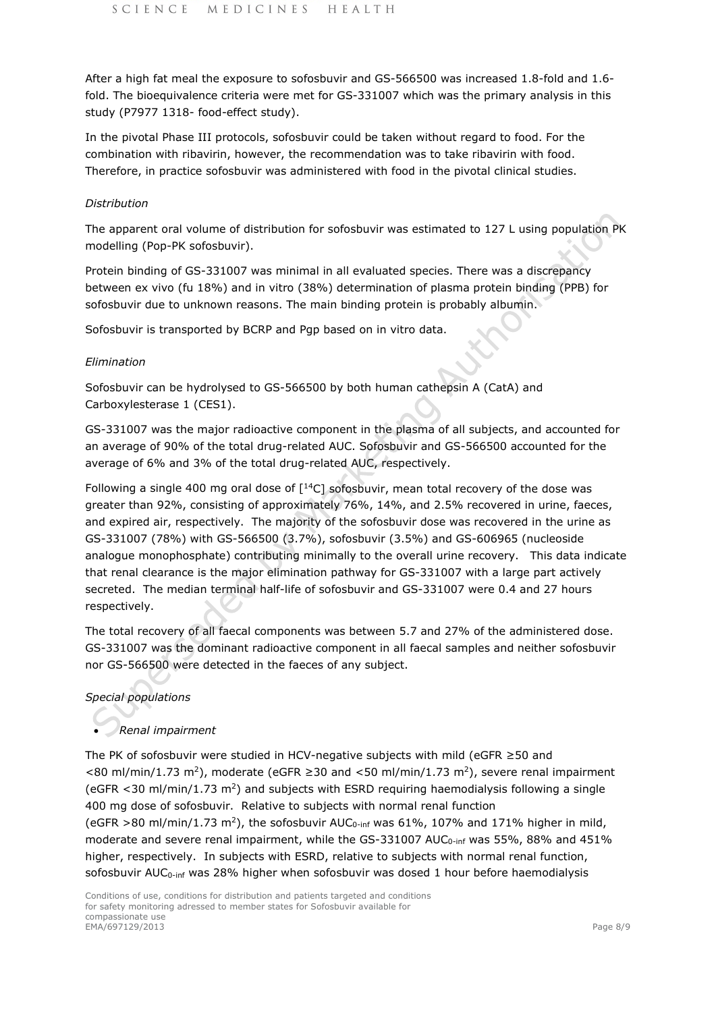After a high fat meal the exposure to sofosbuvir and GS-566500 was increased 1.8-fold and 1.6 fold. The bioequivalence criteria were met for GS-331007 which was the primary analysis in this study (P7977 1318- food-effect study).

In the pivotal Phase III protocols, sofosbuvir could be taken without regard to food. For the combination with ribavirin, however, the recommendation was to take ribavirin with food. Therefore, in practice sofosbuvir was administered with food in the pivotal clinical studies.

## *Distribution*

The apparent oral volume of distribution for sofosbuvir was estimated to 127 L using population PK modelling (Pop-PK sofosbuvir).

Protein binding of GS-331007 was minimal in all evaluated species. There was a discrepancy between ex vivo (fu 18%) and in vitro (38%) determination of plasma protein binding (PPB) for sofosbuvir due to unknown reasons. The main binding protein is probably albumin.

Sofosbuvir is transported by BCRP and Pgp based on in vitro data.

## *Elimination*

Sofosbuvir can be hydrolysed to GS-566500 by both human cathepsin A (CatA) and Carboxylesterase 1 (CES1).

GS-331007 was the major radioactive component in the plasma of all subjects, and accounted for an average of 90% of the total drug-related AUC. Sofosbuvir and GS-566500 accounted for the average of 6% and 3% of the total drug-related AUC, respectively.

Following a single 400 mg oral dose of  $\lceil {^{14}C} \rceil$  sofosbuvir, mean total recovery of the dose was greater than 92%, consisting of approximately 76%, 14%, and 2.5% recovered in urine, faeces, and expired air, respectively. The majority of the sofosbuvir dose was recovered in the urine as GS-331007 (78%) with GS-566500 (3.7%), sofosbuvir (3.5%) and GS-606965 (nucleoside analogue monophosphate) contributing minimally to the overall urine recovery. This data indicate that renal clearance is the major elimination pathway for GS-331007 with a large part actively secreted. The median terminal half-life of sofosbuvir and GS-331007 were 0.4 and 27 hours respectively.

The total recovery of all faecal components was between 5.7 and 27% of the administered dose. GS-331007 was the dominant radioactive component in all faecal samples and neither sofosbuvir nor GS-566500 were detected in the faeces of any subject.

## *Special populations*

## • *Renal impairment*

The PK of sofosbuvir were studied in HCV-negative subjects with mild (eGFR ≥50 and <80 ml/min/1.73 m<sup>2</sup>), moderate (eGFR ≥30 and <50 ml/min/1.73 m<sup>2</sup>), severe renal impairment (eGFR <30 ml/min/1.73 m<sup>2</sup>) and subjects with ESRD requiring haemodialysis following a single 400 mg dose of sofosbuvir. Relative to subjects with normal renal function (eGFR >80 ml/min/1.73 m<sup>2</sup>), the sofosbuvir AUC<sub>0-inf</sub> was 61%, 107% and 171% higher in mild, moderate and severe renal impairment, while the GS-331007 AUC<sub>0-inf</sub> was 55%, 88% and 451% higher, respectively. In subjects with ESRD, relative to subjects with normal renal function, sofosbuvir  $AUC_{0-inf}$  was 28% higher when sofosbuvir was dosed 1 hour before haemodialysis